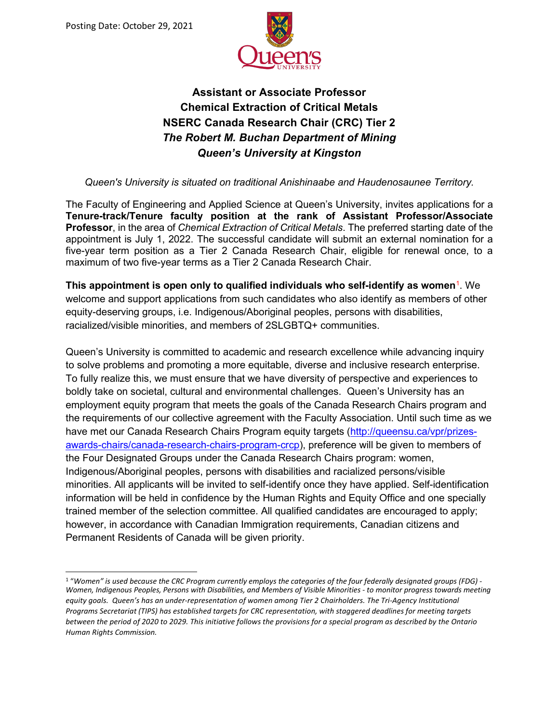

# **Assistant or Associate Professor Chemical Extraction of Critical Metals NSERC Canada Research Chair (CRC) Tier 2** *The Robert M. Buchan Department of Mining Queen's University at Kingston*

*Queen's University is situated on traditional Anishinaabe and Haudenosaunee Territory.*

The Faculty of Engineering and Applied Science at Queen's University, invites applications for a **Tenure-track/Tenure faculty position at the rank of Assistant Professor/Associate Professor**, in the area of *Chemical Extraction of Critical Metals*. The preferred starting date of the appointment is July 1, 2022. The successful candidate will submit an external nomination for a five-year term position as a Tier 2 Canada Research Chair, eligible for renewal once, to a maximum of two five-year terms as a Tier 2 Canada Research Chair.

**This appointment is open only to qualified individuals who self-identify as women<sup>[1](#page-0-0)</sup>. We** welcome and support applications from such candidates who also identify as members of other equity-deserving groups, i.e. Indigenous/Aboriginal peoples, persons with disabilities, racialized/visible minorities, and members of 2SLGBTQ+ communities.

Queen's University is committed to academic and research excellence while advancing inquiry to solve problems and promoting a more equitable, diverse and inclusive research enterprise. To fully realize this, we must ensure that we have diversity of perspective and experiences to boldly take on societal, cultural and environmental challenges. Queen's University has an employment equity program that meets the goals of the Canada Research Chairs program and the requirements of our collective agreement with the Faculty Association. Until such time as we have met our Canada Research Chairs Program equity targets [\(http://queensu.ca/vpr/prizes](http://queensu.ca/vpr/prizes-awards-chairs/canada-research-chairs-program-crcp)[awards-chairs/canada-research-chairs-program-crcp\)](http://queensu.ca/vpr/prizes-awards-chairs/canada-research-chairs-program-crcp), preference will be given to members of the Four Designated Groups under the Canada Research Chairs program: women, Indigenous/Aboriginal peoples, persons with disabilities and racialized persons/visible minorities. All applicants will be invited to self-identify once they have applied. Self-identification information will be held in confidence by the Human Rights and Equity Office and one specially trained member of the selection committee. All qualified candidates are encouraged to apply; however, in accordance with Canadian Immigration requirements, Canadian citizens and Permanent Residents of Canada will be given priority.

<span id="page-0-0"></span><sup>1</sup> "*Women" is used because the CRC Program currently employs the categories of the four federally designated groups (FDG) - Women, Indigenous Peoples, Persons with Disabilities, and Members of Visible Minorities - to monitor progress towards meeting equity goals. Queen's has an under-representation of women among Tier 2 Chairholders. The Tri-Agency Institutional Programs Secretariat (TIPS) has established targets for CRC representation, with staggered deadlines for meeting targets between the period of 2020 to 2029. This initiative follows the provisions for a special program as described by the Ontario Human Rights Commission.*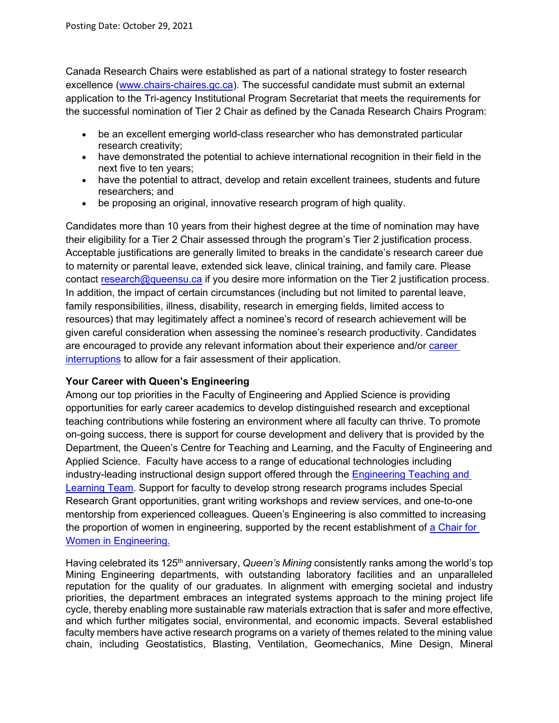Canada Research Chairs were established as part of a national strategy to foster research excellence [\(www.chairs-chaires.gc.ca\)](http://www.chairs-chaires.gc.ca/). The successful candidate must submit an external application to the Tri-agency Institutional Program Secretariat that meets the requirements for the successful nomination of Tier 2 Chair as defined by the Canada Research Chairs Program:

- be an excellent emerging world-class researcher who has demonstrated particular research creativity;
- have demonstrated the potential to achieve international recognition in their field in the next five to ten years;
- have the potential to attract, develop and retain excellent trainees, students and future researchers; and
- be proposing an original, innovative research program of high quality.

Candidates more than 10 years from their highest degree at the time of nomination may have their eligibility for a Tier 2 Chair assessed through the program's Tier 2 justification process. Acceptable justifications are generally limited to breaks in the candidate's research career due to maternity or parental leave, extended sick leave, clinical training, and family care. Please contact research@queensu.ca if you desire more information on the Tier 2 justification process. In addition, the impact of certain circumstances (including but not limited to parental leave, family responsibilities, illness, disability, research in emerging fields, limited access to resources) that may legitimately affect a nominee's record of research achievement will be given careful consideration when assessing the nominee's research productivity. Candidates are encouraged to provide any relevant information about their experience and/or career [interruptions](https://www.chairs-chaires.gc.ca/peer_reviewers-evaluateurs/productivity-productivite-eng.aspx) to allow for a fair assessment of their application.

## **Your Career with Queen's Engineering**

Among our top priorities in the Faculty of Engineering and Applied Science is providing opportunities for early career academics to develop distinguished research and exceptional teaching contributions while fostering an environment where all faculty can thrive. To promote on-going success, there is support for course development and delivery that is provided by the Department, the Queen's Centre for Teaching and Learning, and the Faculty of Engineering and Applied Science. Faculty have access to a range of educational technologies including industry-leading instructional design support offered through the [Engineering Teaching and](https://engineering.queensu.ca/About/teaching-and-learning/team.html)  [Learning Team.](https://engineering.queensu.ca/About/teaching-and-learning/team.html) Support for faculty to develop strong research programs includes Special Research Grant opportunities, grant writing workshops and review services, and one-to-one mentorship from experienced colleagues. Queen's Engineering is also committed to increasing the proportion of women in engineering, supported by the recent establishment of [a Chair for](https://engineering.queensu.ca/women-in-engineering/)  [Women in Engineering.](https://engineering.queensu.ca/women-in-engineering/)

Having celebrated its 125<sup>th</sup> anniversary, *Queen's Mining* consistently ranks among the world's top Mining Engineering departments, with outstanding laboratory facilities and an unparalleled reputation for the quality of our graduates. In alignment with emerging societal and industry priorities, the department embraces an integrated systems approach to the mining project life cycle, thereby enabling more sustainable raw materials extraction that is safer and more effective, and which further mitigates social, environmental, and economic impacts. Several established faculty members have active research programs on a variety of themes related to the mining value chain, including Geostatistics, Blasting, Ventilation, Geomechanics, Mine Design, Mineral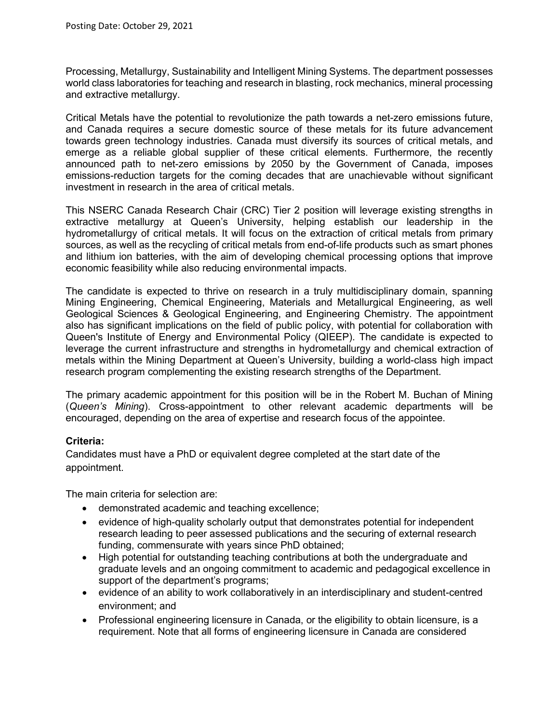Processing, Metallurgy, Sustainability and Intelligent Mining Systems. The department possesses world class laboratories for teaching and research in blasting, rock mechanics, mineral processing and extractive metallurgy.

Critical Metals have the potential to revolutionize the path towards a net-zero emissions future, and Canada requires a secure domestic source of these metals for its future advancement towards green technology industries. Canada must diversify its sources of critical metals, and emerge as a reliable global supplier of these critical elements. Furthermore, the recently announced path to net-zero emissions by 2050 by the Government of Canada, imposes emissions-reduction targets for the coming decades that are unachievable without significant investment in research in the area of critical metals.

This NSERC Canada Research Chair (CRC) Tier 2 position will leverage existing strengths in extractive metallurgy at Queen's University, helping establish our leadership in the hydrometallurgy of critical metals. It will focus on the extraction of critical metals from primary sources, as well as the recycling of critical metals from end-of-life products such as smart phones and lithium ion batteries, with the aim of developing chemical processing options that improve economic feasibility while also reducing environmental impacts.

The candidate is expected to thrive on research in a truly multidisciplinary domain, spanning Mining Engineering, Chemical Engineering, Materials and Metallurgical Engineering, as well Geological Sciences & Geological Engineering, and Engineering Chemistry. The appointment also has significant implications on the field of public policy, with potential for collaboration with Queen's Institute of Energy and Environmental Policy (QIEEP). The candidate is expected to leverage the current infrastructure and strengths in hydrometallurgy and chemical extraction of metals within the Mining Department at Queen's University, building a world-class high impact research program complementing the existing research strengths of the Department.

The primary academic appointment for this position will be in the Robert M. Buchan of Mining (*Queen's Mining*). Cross-appointment to other relevant academic departments will be encouraged, depending on the area of expertise and research focus of the appointee.

## **Criteria:**

Candidates must have a PhD or equivalent degree completed at the start date of the appointment.

The main criteria for selection are:

- demonstrated academic and teaching excellence;
- evidence of high-quality scholarly output that demonstrates potential for independent research leading to peer assessed publications and the securing of external research funding, commensurate with years since PhD obtained;
- High potential for outstanding teaching contributions at both the undergraduate and graduate levels and an ongoing commitment to academic and pedagogical excellence in support of the department's programs;
- evidence of an ability to work collaboratively in an interdisciplinary and student-centred environment; and
- Professional engineering licensure in Canada, or the eligibility to obtain licensure, is a requirement. Note that all forms of engineering licensure in Canada are considered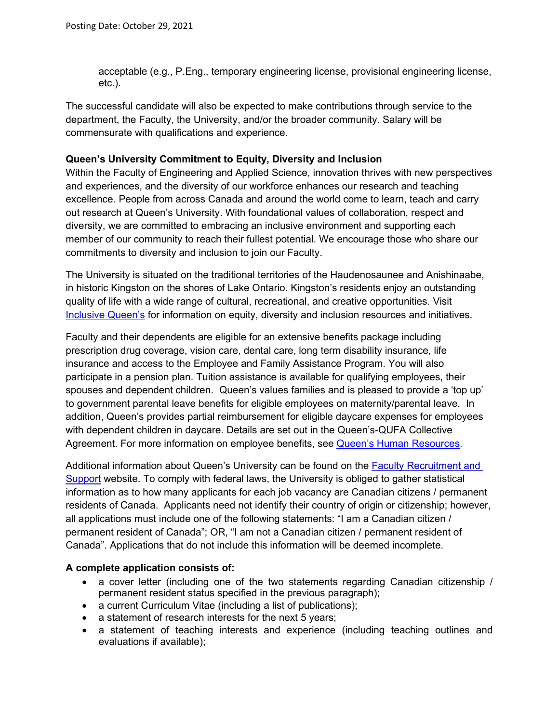acceptable (e.g., P.Eng., temporary engineering license, provisional engineering license, etc.).

The successful candidate will also be expected to make contributions through service to the department, the Faculty, the University, and/or the broader community. Salary will be commensurate with qualifications and experience.

### **Queen's University Commitment to Equity, Diversity and Inclusion**

Within the Faculty of Engineering and Applied Science, innovation thrives with new perspectives and experiences, and the diversity of our workforce enhances our research and teaching excellence. People from across Canada and around the world come to learn, teach and carry out research at Queen's University. With foundational values of collaboration, respect and diversity, we are committed to embracing an inclusive environment and supporting each member of our community to reach their fullest potential. We encourage those who share our commitments to diversity and inclusion to join our Faculty.

The University is situated on the traditional territories of the Haudenosaunee and Anishinaabe, in historic Kingston on the shores of Lake Ontario. Kingston's residents enjoy an outstanding quality of life with a wide range of cultural, recreational, and creative opportunities. Visit [Inclusive Queen's](https://www.queensu.ca/inclusive/content/home) for information on equity, diversity and inclusion resources and initiatives.

Faculty and their dependents are eligible for an extensive benefits package including prescription drug coverage, vision care, dental care, long term disability insurance, life insurance and access to the Employee and Family Assistance Program. You will also participate in a pension plan. Tuition assistance is available for qualifying employees, their spouses and dependent children. Queen's values families and is pleased to provide a 'top up' to government parental leave benefits for eligible employees on maternity/parental leave. In addition, Queen's provides partial reimbursement for eligible daycare expenses for employees with dependent children in daycare. Details are set out in the Queen's-QUFA Collective Agreement. For more information on employee benefits, see [Queen's Human Resources.](http://www.queensu.ca/humanresources/)

Additional information about Queen's University can be found on the [Faculty Recruitment and](http://www.queensu.ca/facultyrecruitment)  [Support](http://www.queensu.ca/facultyrecruitment) website. To comply with federal laws, the University is obliged to gather statistical information as to how many applicants for each job vacancy are Canadian citizens / permanent residents of Canada. Applicants need not identify their country of origin or citizenship; however, all applications must include one of the following statements: "I am a Canadian citizen / permanent resident of Canada"; OR, "I am not a Canadian citizen / permanent resident of Canada". Applications that do not include this information will be deemed incomplete.

## **A complete application consists of:**

- a cover letter (including one of the two statements regarding Canadian citizenship / permanent resident status specified in the previous paragraph);
- a current Curriculum Vitae (including a list of publications);
- a statement of research interests for the next 5 years;
- a statement of teaching interests and experience (including teaching outlines and evaluations if available);